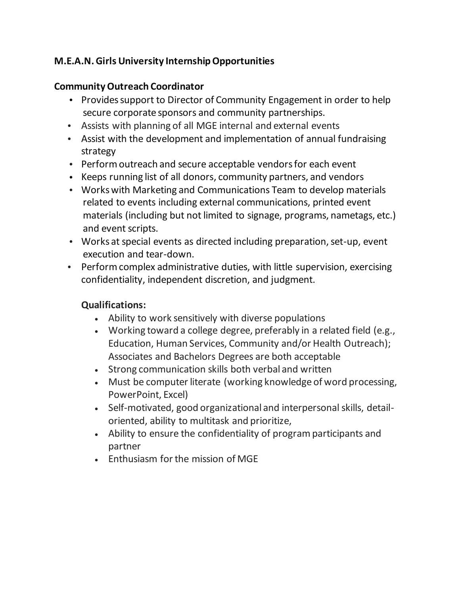## **M.E.A.N. Girls University Internship Opportunities**

#### **Community Outreach Coordinator**

- Provides support to Director of Community Engagement in order to help secure corporate sponsors and community partnerships.
- Assists with planning of all MGE internal and external events
- Assist with the development and implementation of annual fundraising strategy
- Perform outreach and secure acceptable vendors for each event
- Keeps running list of all donors, community partners, and vendors
- Works with Marketing and Communications Team to develop materials related to events including external communications, printed event materials (including but not limited to signage, programs, nametags, etc.) and event scripts.
- Works at special events as directed including preparation, set-up, event execution and tear-down.
- Perform complex administrative duties, with little supervision, exercising confidentiality, independent discretion, and judgment.

#### **Qualifications:**

- Ability to work sensitively with diverse populations
- Working toward a college degree, preferably in a related field (e.g., Education, Human Services, Community and/or Health Outreach); Associates and Bachelors Degrees are both acceptable
- Strong communication skills both verbal and written
- Must be computer literate (working knowledge of word processing, PowerPoint, Excel)
- Self-motivated, good organizational and interpersonal skills, detailoriented, ability to multitask and prioritize,
- Ability to ensure the confidentiality of program participants and partner
- Enthusiasm for the mission of MGE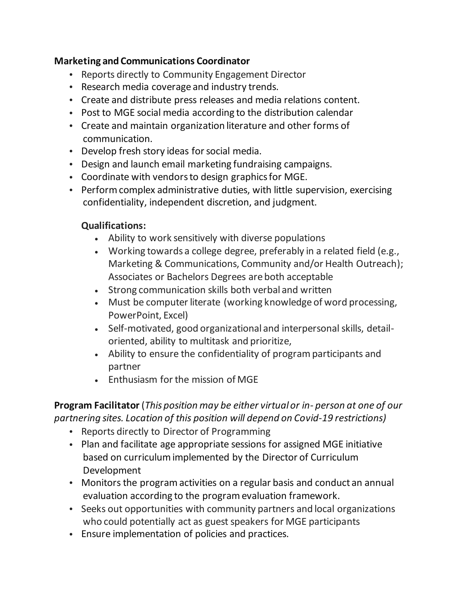#### **Marketing and Communications Coordinator**

- Reports directly to Community Engagement Director
- Research media coverage and industry trends.
- Create and distribute press releases and media relations content.
- Post to MGE social media according to the distribution calendar
- Create and maintain organization literature and other forms of communication.
- Develop fresh story ideas for social media.
- Design and launch email marketing fundraising campaigns.
- Coordinate with vendors to design graphics for MGE.
- Perform complex administrative duties, with little supervision, exercising confidentiality, independent discretion, and judgment.

## **Qualifications:**

- Ability to work sensitively with diverse populations
- Working towards a college degree, preferably in a related field (e.g., Marketing & Communications, Community and/or Health Outreach); Associates or Bachelors Degrees are both acceptable
- Strong communication skills both verbal and written
- Must be computer literate (working knowledge of word processing, PowerPoint, Excel)
- Self-motivated, good organizational and interpersonal skills, detailoriented, ability to multitask and prioritize,
- Ability to ensure the confidentiality of program participants and partner
- Enthusiasm for the mission of MGE

## **Program Facilitator** (*This position may be either virtual or in- person at one of our partnering sites. Location of this position will depend on Covid-19 restrictions)*

- Reports directly to Director of Programming
- Plan and facilitate age appropriate sessions for assigned MGE initiative based on curriculum implemented by the Director of Curriculum Development
- Monitors the program activities on a regular basis and conduct an annual evaluation according to the program evaluation framework.
- Seeks out opportunities with community partners and local organizations who could potentially act as guest speakers for MGE participants
- Ensure implementation of policies and practices.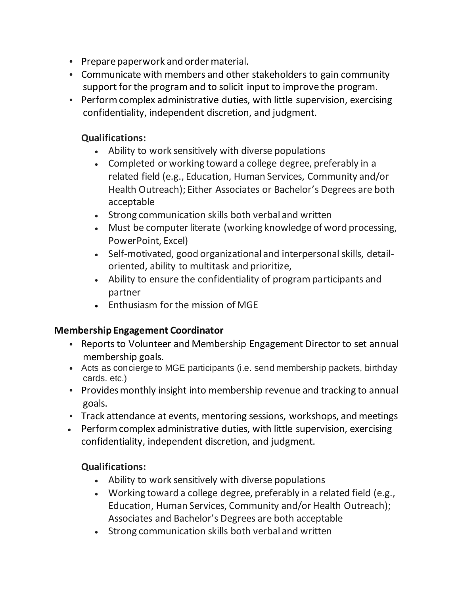- Prepare paperwork and order material.
- Communicate with members and other stakeholders to gain community support for the program and to solicit input to improve the program.
- Perform complex administrative duties, with little supervision, exercising confidentiality, independent discretion, and judgment.

### **Qualifications:**

- Ability to work sensitively with diverse populations
- Completed or working toward a college degree, preferably in a related field (e.g., Education, Human Services, Community and/or Health Outreach); Either Associates or Bachelor's Degrees are both acceptable
- Strong communication skills both verbal and written
- Must be computer literate (working knowledge of word processing, PowerPoint, Excel)
- Self-motivated, good organizational and interpersonal skills, detailoriented, ability to multitask and prioritize,
- Ability to ensure the confidentiality of program participants and partner
- Enthusiasm for the mission of MGE

# **Membership Engagement Coordinator**

- Reports to Volunteer and Membership Engagement Director to set annual membership goals.
- Acts as concierge to MGE participants (i.e. send membership packets, birthday cards. etc.)
- Provides monthly insight into membership revenue and tracking to annual goals.
- Track attendance at events, mentoring sessions, workshops, and meetings
- Perform complex administrative duties, with little supervision, exercising confidentiality, independent discretion, and judgment.

# **Qualifications:**

- Ability to work sensitively with diverse populations
- Working toward a college degree, preferably in a related field (e.g., Education, Human Services, Community and/or Health Outreach); Associates and Bachelor's Degrees are both acceptable
- Strong communication skills both verbal and written